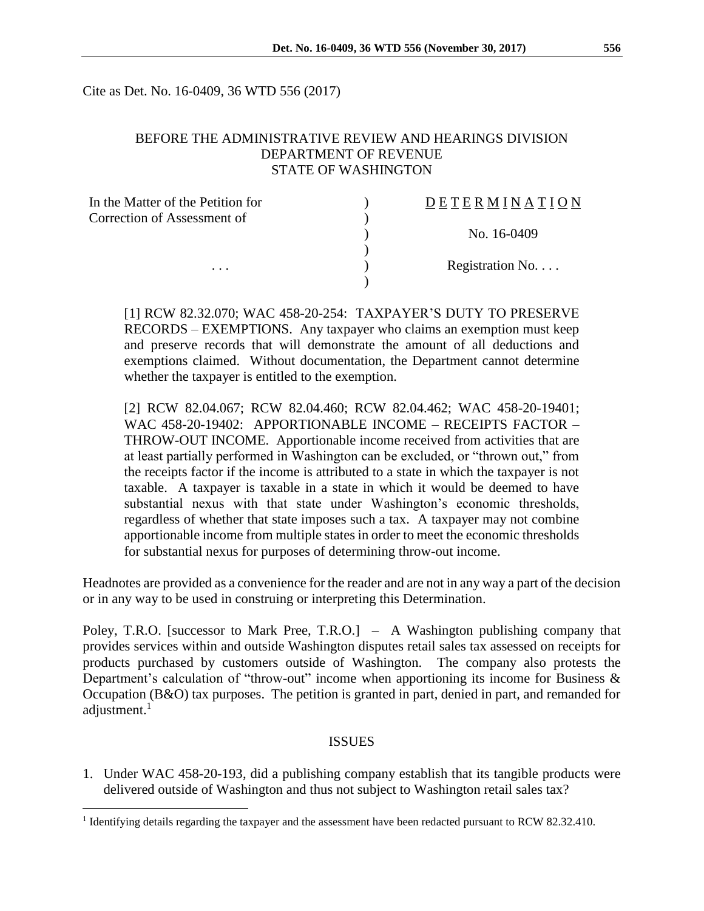Cite as Det. No. 16-0409, 36 WTD 556 (2017)

#### BEFORE THE ADMINISTRATIVE REVIEW AND HEARINGS DIVISION DEPARTMENT OF REVENUE STATE OF WASHINGTON

| In the Matter of the Petition for | DETERMINATION   |
|-----------------------------------|-----------------|
| Correction of Assessment of       |                 |
|                                   | No. 16-0409     |
|                                   |                 |
| $\cdots$                          | Registration No |
|                                   |                 |

[1] RCW 82.32.070; WAC 458-20-254: TAXPAYER'S DUTY TO PRESERVE RECORDS – EXEMPTIONS. Any taxpayer who claims an exemption must keep and preserve records that will demonstrate the amount of all deductions and exemptions claimed. Without documentation, the Department cannot determine whether the taxpayer is entitled to the exemption.

[2] RCW 82.04.067; RCW 82.04.460; RCW 82.04.462; WAC 458-20-19401; WAC 458-20-19402: APPORTIONABLE INCOME – RECEIPTS FACTOR – THROW-OUT INCOME. Apportionable income received from activities that are at least partially performed in Washington can be excluded, or "thrown out," from the receipts factor if the income is attributed to a state in which the taxpayer is not taxable. A taxpayer is taxable in a state in which it would be deemed to have substantial nexus with that state under Washington's economic thresholds, regardless of whether that state imposes such a tax. A taxpayer may not combine apportionable income from multiple states in order to meet the economic thresholds for substantial nexus for purposes of determining throw-out income.

Headnotes are provided as a convenience for the reader and are not in any way a part of the decision or in any way to be used in construing or interpreting this Determination.

Poley, T.R.O. [successor to Mark Pree, T.R.O.] – A Washington publishing company that provides services within and outside Washington disputes retail sales tax assessed on receipts for products purchased by customers outside of Washington. The company also protests the Department's calculation of "throw-out" income when apportioning its income for Business & Occupation (B&O) tax purposes. The petition is granted in part, denied in part, and remanded for adjustment.<sup>1</sup>

#### **ISSUES**

1. Under WAC 458-20-193, did a publishing company establish that its tangible products were delivered outside of Washington and thus not subject to Washington retail sales tax?

 $\overline{a}$ 

<sup>&</sup>lt;sup>1</sup> Identifying details regarding the taxpayer and the assessment have been redacted pursuant to RCW 82.32.410.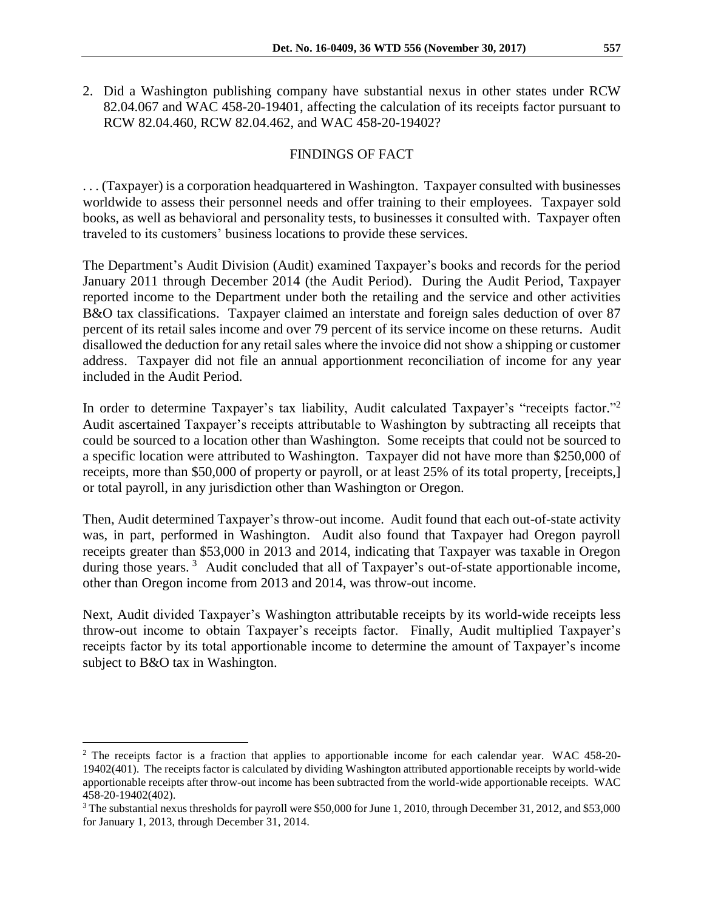2. Did a Washington publishing company have substantial nexus in other states under RCW 82.04.067 and WAC 458-20-19401, affecting the calculation of its receipts factor pursuant to RCW 82.04.460, RCW 82.04.462, and WAC 458-20-19402?

# FINDINGS OF FACT

. . . (Taxpayer) is a corporation headquartered in Washington. Taxpayer consulted with businesses worldwide to assess their personnel needs and offer training to their employees. Taxpayer sold books, as well as behavioral and personality tests, to businesses it consulted with. Taxpayer often traveled to its customers' business locations to provide these services.

The Department's Audit Division (Audit) examined Taxpayer's books and records for the period January 2011 through December 2014 (the Audit Period). During the Audit Period, Taxpayer reported income to the Department under both the retailing and the service and other activities B&O tax classifications. Taxpayer claimed an interstate and foreign sales deduction of over 87 percent of its retail sales income and over 79 percent of its service income on these returns. Audit disallowed the deduction for any retail sales where the invoice did not show a shipping or customer address. Taxpayer did not file an annual apportionment reconciliation of income for any year included in the Audit Period.

In order to determine Taxpayer's tax liability, Audit calculated Taxpayer's "receipts factor."<sup>2</sup> Audit ascertained Taxpayer's receipts attributable to Washington by subtracting all receipts that could be sourced to a location other than Washington. Some receipts that could not be sourced to a specific location were attributed to Washington. Taxpayer did not have more than \$250,000 of receipts, more than \$50,000 of property or payroll, or at least 25% of its total property, [receipts,] or total payroll, in any jurisdiction other than Washington or Oregon.

Then, Audit determined Taxpayer's throw-out income. Audit found that each out-of-state activity was, in part, performed in Washington. Audit also found that Taxpayer had Oregon payroll receipts greater than \$53,000 in 2013 and 2014, indicating that Taxpayer was taxable in Oregon during those years.<sup>3</sup> Audit concluded that all of Taxpayer's out-of-state apportionable income, other than Oregon income from 2013 and 2014, was throw-out income.

Next, Audit divided Taxpayer's Washington attributable receipts by its world-wide receipts less throw-out income to obtain Taxpayer's receipts factor. Finally, Audit multiplied Taxpayer's receipts factor by its total apportionable income to determine the amount of Taxpayer's income subject to B&O tax in Washington.

 $\overline{a}$ 

<sup>&</sup>lt;sup>2</sup> The receipts factor is a fraction that applies to apportionable income for each calendar year. WAC 458-20-19402(401). The receipts factor is calculated by dividing Washington attributed apportionable receipts by world-wide apportionable receipts after throw-out income has been subtracted from the world-wide apportionable receipts. WAC 458-20-19402(402).

<sup>3</sup> The substantial nexus thresholds for payroll were \$50,000 for June 1, 2010, through December 31, 2012, and \$53,000 for January 1, 2013, through December 31, 2014.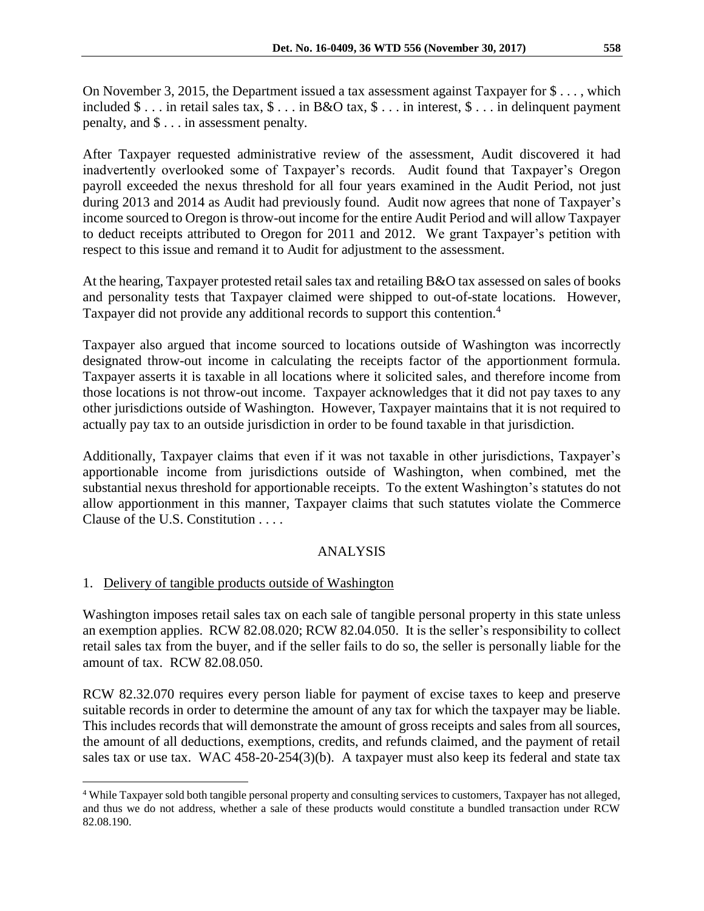On November 3, 2015, the Department issued a tax assessment against Taxpayer for \$ . . . , which included \$ . . . in retail sales tax, \$ . . . in B&O tax, \$ . . . in interest, \$ . . . in delinquent payment penalty, and \$ . . . in assessment penalty.

After Taxpayer requested administrative review of the assessment, Audit discovered it had inadvertently overlooked some of Taxpayer's records. Audit found that Taxpayer's Oregon payroll exceeded the nexus threshold for all four years examined in the Audit Period, not just during 2013 and 2014 as Audit had previously found. Audit now agrees that none of Taxpayer's income sourced to Oregon is throw-out income for the entire Audit Period and will allow Taxpayer to deduct receipts attributed to Oregon for 2011 and 2012. We grant Taxpayer's petition with respect to this issue and remand it to Audit for adjustment to the assessment.

At the hearing, Taxpayer protested retail sales tax and retailing B&O tax assessed on sales of books and personality tests that Taxpayer claimed were shipped to out-of-state locations. However, Taxpayer did not provide any additional records to support this contention.<sup>4</sup>

Taxpayer also argued that income sourced to locations outside of Washington was incorrectly designated throw-out income in calculating the receipts factor of the apportionment formula. Taxpayer asserts it is taxable in all locations where it solicited sales, and therefore income from those locations is not throw-out income. Taxpayer acknowledges that it did not pay taxes to any other jurisdictions outside of Washington. However, Taxpayer maintains that it is not required to actually pay tax to an outside jurisdiction in order to be found taxable in that jurisdiction.

Additionally, Taxpayer claims that even if it was not taxable in other jurisdictions, Taxpayer's apportionable income from jurisdictions outside of Washington, when combined, met the substantial nexus threshold for apportionable receipts. To the extent Washington's statutes do not allow apportionment in this manner, Taxpayer claims that such statutes violate the Commerce Clause of the U.S. Constitution . . . .

## ANALYSIS

## 1. Delivery of tangible products outside of Washington

 $\overline{a}$ 

Washington imposes retail sales tax on each sale of tangible personal property in this state unless an exemption applies. RCW 82.08.020; RCW 82.04.050. It is the seller's responsibility to collect retail sales tax from the buyer, and if the seller fails to do so, the seller is personally liable for the amount of tax. RCW 82.08.050.

RCW 82.32.070 requires every person liable for payment of excise taxes to keep and preserve suitable records in order to determine the amount of any tax for which the taxpayer may be liable. This includes records that will demonstrate the amount of gross receipts and sales from all sources, the amount of all deductions, exemptions, credits, and refunds claimed, and the payment of retail sales tax or use tax. WAC 458-20-254(3)(b). A taxpayer must also keep its federal and state tax

<sup>4</sup> While Taxpayer sold both tangible personal property and consulting services to customers, Taxpayer has not alleged, and thus we do not address, whether a sale of these products would constitute a bundled transaction under RCW 82.08.190.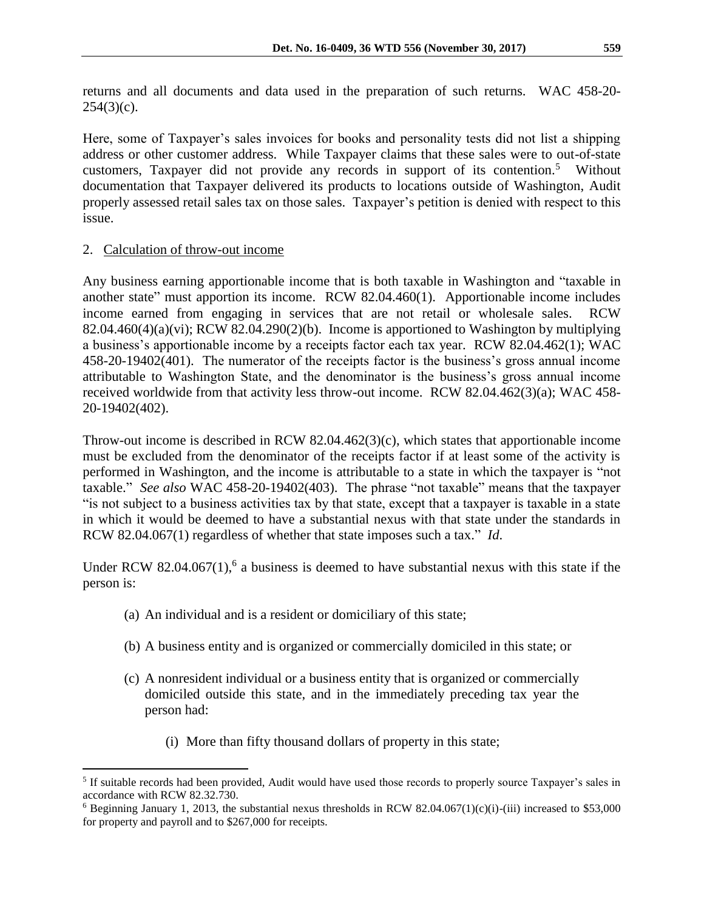returns and all documents and data used in the preparation of such returns. WAC 458-20-  $254(3)(c)$ .

Here, some of Taxpayer's sales invoices for books and personality tests did not list a shipping address or other customer address. While Taxpayer claims that these sales were to out-of-state customers, Taxpayer did not provide any records in support of its contention.<sup>5</sup> Without documentation that Taxpayer delivered its products to locations outside of Washington, Audit properly assessed retail sales tax on those sales. Taxpayer's petition is denied with respect to this issue.

#### 2. Calculation of throw-out income

 $\overline{a}$ 

Any business earning apportionable income that is both taxable in Washington and "taxable in another state" must apportion its income. RCW 82.04.460(1). Apportionable income includes income earned from engaging in services that are not retail or wholesale sales. RCW  $82.04.460(4)(a)(vi)$ ; RCW  $82.04.290(2)(b)$ . Income is apportioned to Washington by multiplying a business's apportionable income by a receipts factor each tax year. RCW 82.04.462(1); WAC 458-20-19402(401). The numerator of the receipts factor is the business's gross annual income attributable to Washington State, and the denominator is the business's gross annual income received worldwide from that activity less throw-out income. RCW 82.04.462(3)(a); WAC 458- 20-19402(402).

Throw-out income is described in RCW 82.04.462(3)(c), which states that apportionable income must be excluded from the denominator of the receipts factor if at least some of the activity is performed in Washington, and the income is attributable to a state in which the taxpayer is "not taxable." *See also* WAC 458-20-19402(403). The phrase "not taxable" means that the taxpayer "is not subject to a business activities tax by that state, except that a taxpayer is taxable in a state in which it would be deemed to have a substantial nexus with that state under the standards in RCW 82.04.067(1) regardless of whether that state imposes such a tax." *Id*.

Under RCW 82.04.067 $(1)$ ,<sup>6</sup> a business is deemed to have substantial nexus with this state if the person is:

- (a) An individual and is a resident or domiciliary of this state;
- (b) A business entity and is organized or commercially domiciled in this state; or
- (c) A nonresident individual or a business entity that is organized or commercially domiciled outside this state, and in the immediately preceding tax year the person had:
	- (i) More than fifty thousand dollars of property in this state;

<sup>&</sup>lt;sup>5</sup> If suitable records had been provided, Audit would have used those records to properly source Taxpayer's sales in accordance with RCW 82.32.730.

 $6$  Beginning January 1, 2013, the substantial nexus thresholds in RCW 82.04.067(1)(c)(i)-(iii) increased to \$53,000 for property and payroll and to \$267,000 for receipts.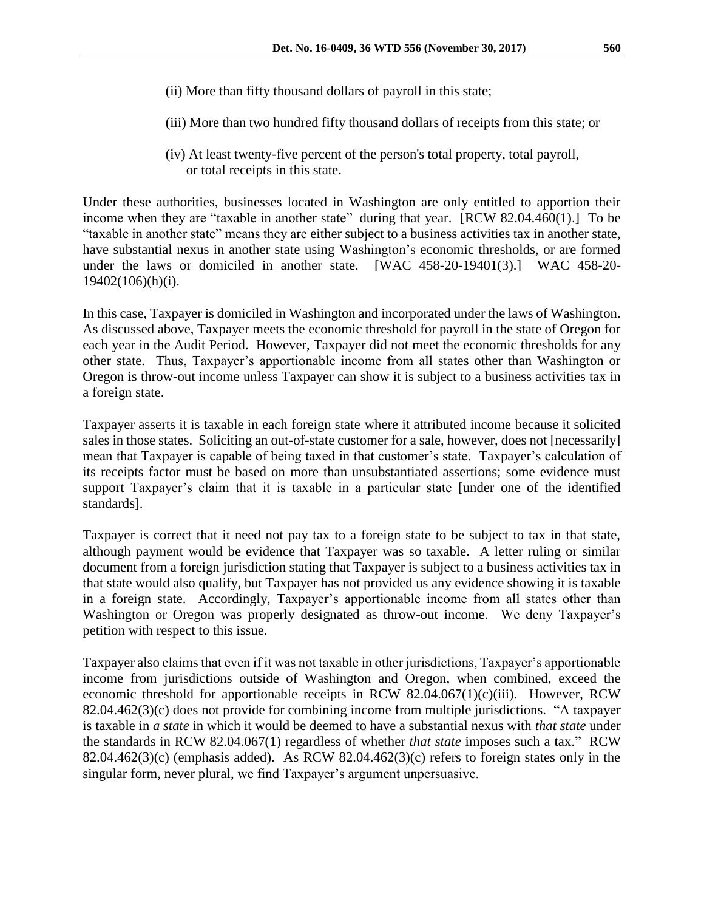- (ii) More than fifty thousand dollars of payroll in this state;
- (iii) More than two hundred fifty thousand dollars of receipts from this state; or
- (iv) At least twenty-five percent of the person's total property, total payroll, or total receipts in this state.

Under these authorities, businesses located in Washington are only entitled to apportion their income when they are "taxable in another state" during that year. [RCW 82.04.460(1).] To be "taxable in another state" means they are either subject to a business activities tax in another state, have substantial nexus in another state using Washington's economic thresholds, or are formed under the laws or domiciled in another state. [WAC 458-20-19401(3).] WAC 458-20- 19402(106)(h)(i).

In this case, Taxpayer is domiciled in Washington and incorporated under the laws of Washington. As discussed above, Taxpayer meets the economic threshold for payroll in the state of Oregon for each year in the Audit Period. However, Taxpayer did not meet the economic thresholds for any other state. Thus, Taxpayer's apportionable income from all states other than Washington or Oregon is throw-out income unless Taxpayer can show it is subject to a business activities tax in a foreign state.

Taxpayer asserts it is taxable in each foreign state where it attributed income because it solicited sales in those states. Soliciting an out-of-state customer for a sale, however, does not [necessarily] mean that Taxpayer is capable of being taxed in that customer's state. Taxpayer's calculation of its receipts factor must be based on more than unsubstantiated assertions; some evidence must support Taxpayer's claim that it is taxable in a particular state [under one of the identified standards].

Taxpayer is correct that it need not pay tax to a foreign state to be subject to tax in that state, although payment would be evidence that Taxpayer was so taxable. A letter ruling or similar document from a foreign jurisdiction stating that Taxpayer is subject to a business activities tax in that state would also qualify, but Taxpayer has not provided us any evidence showing it is taxable in a foreign state. Accordingly, Taxpayer's apportionable income from all states other than Washington or Oregon was properly designated as throw-out income. We deny Taxpayer's petition with respect to this issue.

Taxpayer also claims that even if it was not taxable in other jurisdictions, Taxpayer's apportionable income from jurisdictions outside of Washington and Oregon, when combined, exceed the economic threshold for apportionable receipts in RCW 82.04.067(1)(c)(iii). However, RCW 82.04.462(3)(c) does not provide for combining income from multiple jurisdictions. "A taxpayer is taxable in *a state* in which it would be deemed to have a substantial nexus with *that state* under the standards in RCW 82.04.067(1) regardless of whether *that state* imposes such a tax." RCW 82.04.462(3)(c) (emphasis added). As RCW 82.04.462(3)(c) refers to foreign states only in the singular form, never plural, we find Taxpayer's argument unpersuasive.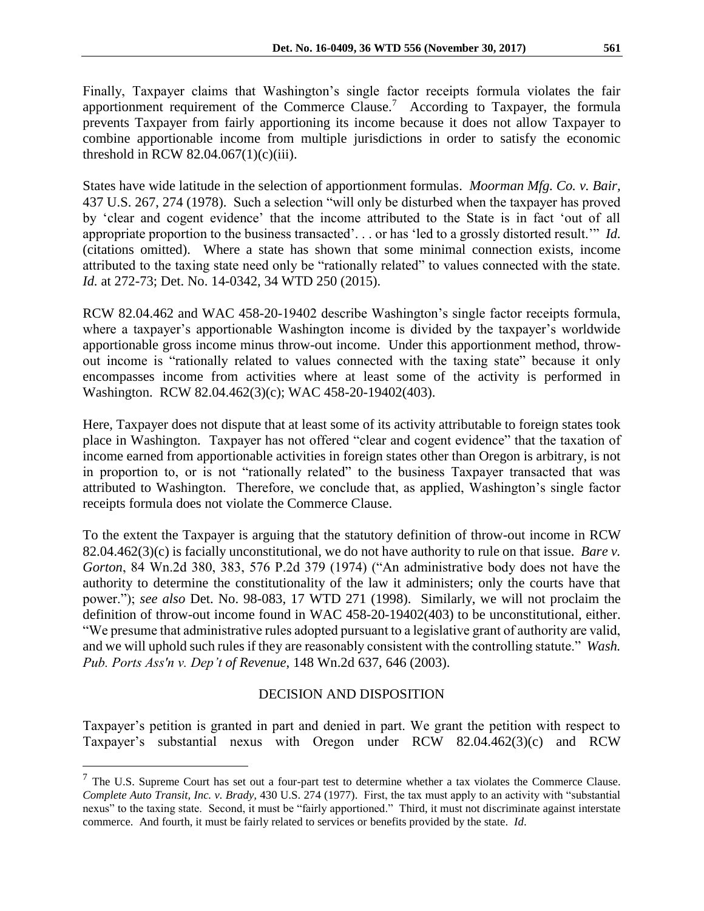Finally, Taxpayer claims that Washington's single factor receipts formula violates the fair apportionment requirement of the Commerce Clause.<sup>7</sup> According to Taxpayer, the formula prevents Taxpayer from fairly apportioning its income because it does not allow Taxpayer to combine apportionable income from multiple jurisdictions in order to satisfy the economic threshold in RCW  $82.04.067(1)(c)(iii)$ .

States have wide latitude in the selection of apportionment formulas. *Moorman Mfg. Co. v. Bair,*  437 U.S. 267, 274 (1978). Such a selection "will only be disturbed when the taxpayer has proved by 'clear and cogent evidence' that the income attributed to the State is in fact 'out of all appropriate proportion to the business transacted'. . . or has 'led to a grossly distorted result.'" *Id.*  (citations omitted). Where a state has shown that some minimal connection exists, income attributed to the taxing state need only be "rationally related" to values connected with the state. *Id.* at 272-73; Det. No. 14-0342, 34 WTD 250 (2015).

RCW 82.04.462 and WAC 458-20-19402 describe Washington's single factor receipts formula, where a taxpayer's apportionable Washington income is divided by the taxpayer's worldwide apportionable gross income minus throw-out income. Under this apportionment method, throwout income is "rationally related to values connected with the taxing state" because it only encompasses income from activities where at least some of the activity is performed in Washington. RCW 82.04.462(3)(c); WAC 458-20-19402(403).

Here, Taxpayer does not dispute that at least some of its activity attributable to foreign states took place in Washington. Taxpayer has not offered "clear and cogent evidence" that the taxation of income earned from apportionable activities in foreign states other than Oregon is arbitrary, is not in proportion to, or is not "rationally related" to the business Taxpayer transacted that was attributed to Washington. Therefore, we conclude that, as applied, Washington's single factor receipts formula does not violate the Commerce Clause.

To the extent the Taxpayer is arguing that the statutory definition of throw-out income in RCW 82.04.462(3)(c) is facially unconstitutional, we do not have authority to rule on that issue. *Bare v. Gorton*, 84 Wn.2d 380, 383, 576 P.2d 379 (1974) ("An administrative body does not have the authority to determine the constitutionality of the law it administers; only the courts have that power."); *see also* Det. No. 98-083, 17 WTD 271 (1998). Similarly, we will not proclaim the definition of throw-out income found in WAC 458-20-19402(403) to be unconstitutional, either. "We presume that administrative rules adopted pursuant to a legislative grant of authority are valid, and we will uphold such rules if they are reasonably consistent with the controlling statute." *Wash. Pub. Ports Ass'n v. Dep't of Revenue*, 148 Wn.2d 637, 646 (2003).

## DECISION AND DISPOSITION

Taxpayer's petition is granted in part and denied in part. We grant the petition with respect to Taxpayer's substantial nexus with Oregon under RCW 82.04.462(3)(c) and RCW

 $\overline{a}$ 

 $<sup>7</sup>$  The U.S. Supreme Court has set out a four-part test to determine whether a tax violates the Commerce Clause.</sup> *[Complete Auto Transit, Inc. v. Brady,](http://www.westlaw.com/Find/Default.wl?rs=dfa1.0&vr=2.0&DB=708&FindType=Y&SerialNum=1977118746)* [430 U.S. 274 \(1977\).](http://www.westlaw.com/Find/Default.wl?rs=dfa1.0&vr=2.0&DB=708&FindType=Y&SerialNum=1977118746) First, the tax must apply to an activity with "substantial nexus" to the taxing state. Second, it must be "fairly apportioned." Third, it must not discriminate against interstate commerce. And fourth, it must be fairly related to services or benefits provided by the state. *Id*.